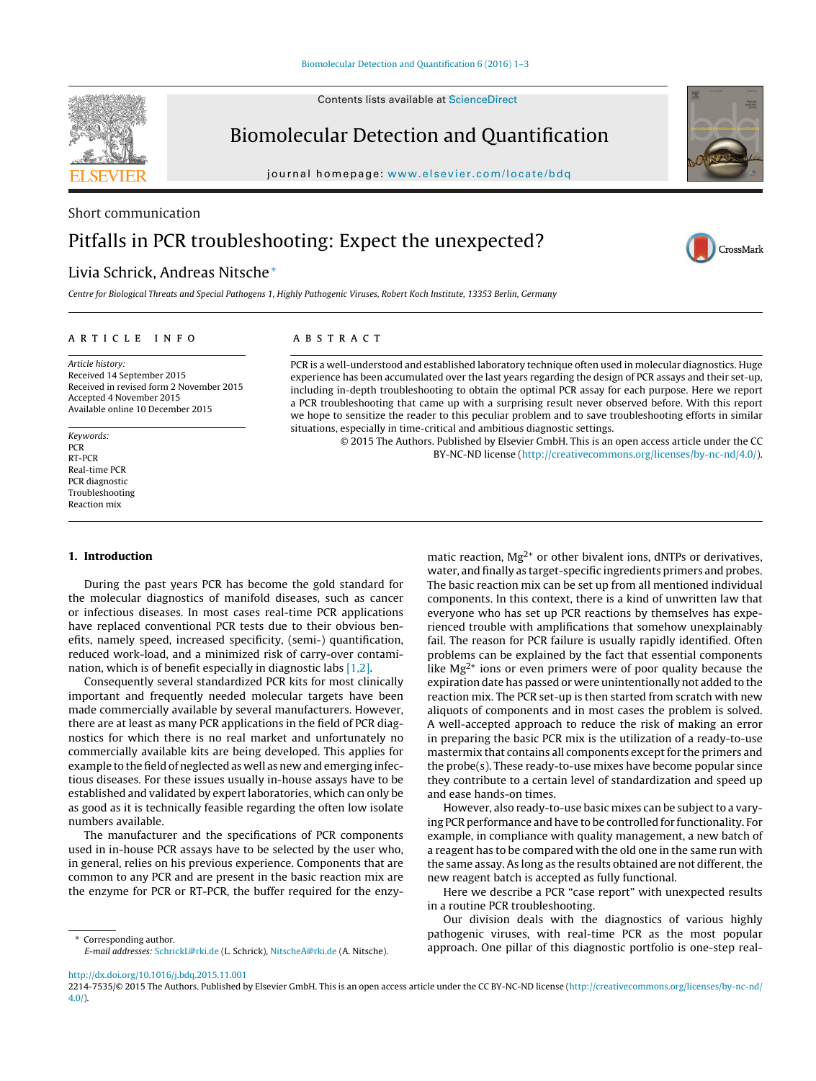Contents lists available at [ScienceDirect](http://www.sciencedirect.com/science/journal/00000000)



# Biomolecular Detection and Quantification

iournal homepage: www.elsevier.com/locate/bdg



CrossMark

## Short communication

# Pitfalls in PCR troubleshooting: Expect the unexpected?

## Livia Schrick, Andreas Nitsche<sup>∗</sup>

Centre for Biological Threats and Special Pathogens 1, Highly Pathogenic Viruses, Robert Koch Institute, 13353 Berlin, Germany

## a r t i c l e i n f o

Article history: Received 14 September 2015 Received in revised form 2 November 2015 Accepted 4 November 2015 Available online 10 December 2015

Keywords: **PCR** RT-PCR Real-time PCR PCR diagnostic Troubleshooting Reaction mix

## **1. Introduction**

During the past years PCR has become the gold standard for the molecular diagnostics of manifold diseases, such as cancer or infectious diseases. In most cases real-time PCR applications have replaced conventional PCR tests due to their obvious benefits, namely speed, increased specificity, (semi-) quantification, reduced work-load, and a minimized risk of carry-over contamination, which is of benefit especially in diagnostic labs [\[1,2\].](#page-2-0)

Consequently several standardized PCR kits for most clinically important and frequently needed molecular targets have been made commercially available by several manufacturers. However, there are at least as many PCR applications in the field of PCR diagnostics for which there is no real market and unfortunately no commercially available kits are being developed. This applies for example to the field of neglected as well as new and emerging infectious diseases. For these issues usually in-house assays have to be established and validated by expert laboratories, which can only be as good as it is technically feasible regarding the often low isolate numbers available.

The manufacturer and the specifications of PCR components used in in-house PCR assays have to be selected by the user who, in general, relies on his previous experience. Components that are common to any PCR and are present in the basic reaction mix are the enzyme for PCR or RT-PCR, the buffer required for the enzy-

## A B S T R A C T

PCR is a well-understood and established laboratory technique often used in molecular diagnostics. Huge experience has been accumulated over the last years regarding the design of PCR assays and their set-up, including in-depth troubleshooting to obtain the optimal PCR assay for each purpose. Here we report a PCR troubleshooting that came up with a surprising result never observed before. With this report we hope to sensitize the reader to this peculiar problem and to save troubleshooting efforts in similar situations, especially in time-critical and ambitious diagnostic settings.

> © 2015 The Authors. Published by Elsevier GmbH. This is an open access article under the CC BY-NC-ND license [\(http://creativecommons.org/licenses/by-nc-nd/4.0/](http://creativecommons.org/licenses/by-nc-nd/4.0/)).

> > matic reaction,  $Mg^{2+}$  or other bivalent ions, dNTPs or derivatives, water, and finally as target-specific ingredients primers and probes. The basic reaction mix can be set up from all mentioned individual components. In this context, there is a kind of unwritten law that everyone who has set up PCR reactions by themselves has experienced trouble with amplifications that somehow unexplainably fail. The reason for PCR failure is usually rapidly identified. Often problems can be explained by the fact that essential components like  $Mg^{2+}$  ions or even primers were of poor quality because the expiration date has passed or were unintentionally not added to the reaction mix. The PCR set-up is then started from scratch with new aliquots of components and in most cases the problem is solved. A well-accepted approach to reduce the risk of making an error in preparing the basic PCR mix is the utilization of a ready-to-use mastermix that contains all components except for the primers and the probe(s). These ready-to-use mixes have become popular since they contribute to a certain level of standardization and speed up and ease hands-on times.

> > However, also ready-to-use basic mixes can be subject to a varying PCR performance and have to be controlled for functionality. For example, in compliance with quality management, a new batch of a reagent has to be compared with the old one in the same run with the same assay. As long as the results obtained are not different, the new reagent batch is accepted as fully functional.

> > Here we describe a PCR "case report" with unexpected results in a routine PCR troubleshooting.

> > Our division deals with the diagnostics of various highly pathogenic viruses, with real-time PCR as the most popular approach. One pillar of this diagnostic portfolio is one-step real-

[http://dx.doi.org/10.1016/j.bdq.2015.11.001](dx.doi.org/10.1016/j.bdq.2015.11.001)

<sup>∗</sup> Corresponding author. E-mail addresses: [SchrickL@rki.de](mailto:SchrickL@rki.de) (L. Schrick), [NitscheA@rki.de](mailto:NitscheA@rki.de) (A. Nitsche).

<sup>2214-7535/©</sup> 2015 The Authors. Published by Elsevier GmbH. This is an open access article under the CC BY-NC-ND license ([http://creativecommons.org/licenses/by-nc-nd/](http://creativecommons.org/licenses/by-nc-nd/4.0/) [4.0/](http://creativecommons.org/licenses/by-nc-nd/4.0/)).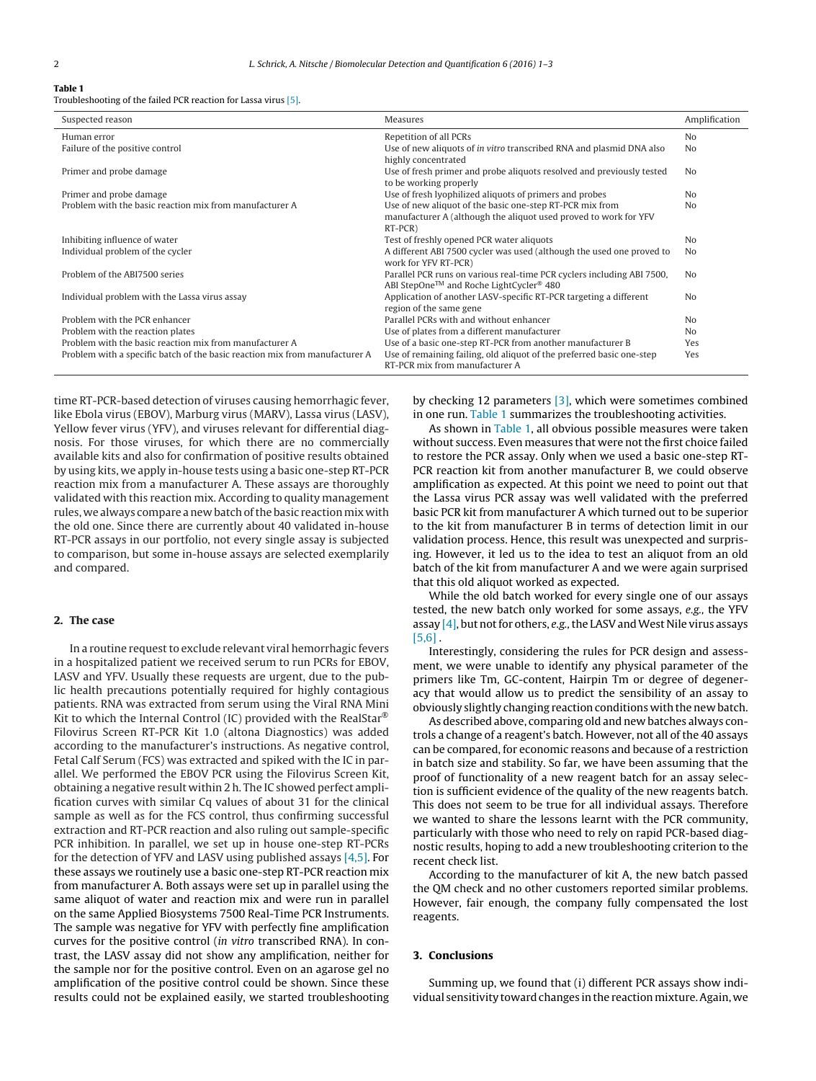## **Table 1**

Troubleshooting of the failed PCR reaction for Lassa virus [\[5\].](#page-2-0)

| Suspected reason                                                            | Measures                                                               | Amplification  |
|-----------------------------------------------------------------------------|------------------------------------------------------------------------|----------------|
| Human error                                                                 | Repetition of all PCRs                                                 | No             |
| Failure of the positive control                                             | Use of new aliquots of in vitro transcribed RNA and plasmid DNA also   | N <sub>0</sub> |
|                                                                             | highly concentrated                                                    |                |
| Primer and probe damage                                                     | Use of fresh primer and probe aliquots resolved and previously tested  | N <sub>0</sub> |
|                                                                             | to be working properly                                                 |                |
| Primer and probe damage                                                     | Use of fresh lyophilized aliquots of primers and probes                | No             |
| Problem with the basic reaction mix from manufacturer A                     | Use of new aliquot of the basic one-step RT-PCR mix from               | No             |
|                                                                             | manufacturer A (although the aliquot used proved to work for YFV       |                |
|                                                                             | $RT-PCR$ )                                                             |                |
| Inhibiting influence of water                                               | Test of freshly opened PCR water aliquots                              | No             |
| Individual problem of the cycler                                            | A different ABI 7500 cycler was used (although the used one proved to  | N <sub>0</sub> |
|                                                                             | work for YFV RT-PCR)                                                   |                |
| Problem of the ABI7500 series                                               | Parallel PCR runs on various real-time PCR cyclers including ABI 7500, | N <sub>0</sub> |
|                                                                             | ABI StepOne™ and Roche LightCycler® 480                                |                |
| Individual problem with the Lassa virus assay                               | Application of another LASV-specific RT-PCR targeting a different      | N <sub>0</sub> |
|                                                                             | region of the same gene                                                |                |
| Problem with the PCR enhancer                                               | Parallel PCRs with and without enhancer                                | No             |
| Problem with the reaction plates                                            | Use of plates from a different manufacturer                            | No             |
| Problem with the basic reaction mix from manufacturer A                     | Use of a basic one-step RT-PCR from another manufacturer B             | Yes            |
| Problem with a specific batch of the basic reaction mix from manufacturer A | Use of remaining failing, old aliquot of the preferred basic one-step  | Yes            |
|                                                                             | RT-PCR mix from manufacturer A                                         |                |

time RT-PCR-based detection of viruses causing hemorrhagic fever, like Ebola virus (EBOV), Marburg virus (MARV), Lassa virus (LASV), Yellow fever virus (YFV), and viruses relevant for differential diagnosis. For those viruses, for which there are no commercially available kits and also for confirmation of positive results obtained by using kits, we apply in-house tests using a basic one-step RT-PCR reaction mix from a manufacturer A. These assays are thoroughly validated with this reaction mix. According to quality management rules, we always compare anew batchofthe basic reactionmix with the old one. Since there are currently about 40 validated in-house RT-PCR assays in our portfolio, not every single assay is subjected to comparison, but some in-house assays are selected exemplarily and compared.

## **2. The case**

In a routine request to exclude relevant viral hemorrhagic fevers in a hospitalized patient we received serum to run PCRs for EBOV, LASV and YFV. Usually these requests are urgent, due to the public health precautions potentially required for highly contagious patients. RNA was extracted from serum using the Viral RNA Mini Kit to which the Internal Control (IC) provided with the RealStar® Filovirus Screen RT-PCR Kit 1.0 (altona Diagnostics) was added according to the manufacturer's instructions. As negative control, Fetal Calf Serum (FCS) was extracted and spiked with the IC in parallel. We performed the EBOV PCR using the Filovirus Screen Kit, obtaining a negative result within 2 h. The IC showed perfect amplification curves with similar Cq values of about 31 for the clinical sample as well as for the FCS control, thus confirming successful extraction and RT-PCR reaction and also ruling out sample-specific PCR inhibition. In parallel, we set up in house one-step RT-PCRs for the detection of YFV and LASV using published assays [\[4,5\].](#page-2-0) For these assays we routinely use a basic one-step RT-PCR reaction mix from manufacturer A. Both assays were set up in parallel using the same aliquot of water and reaction mix and were run in parallel on the same Applied Biosystems 7500 Real-Time PCR Instruments. The sample was negative for YFV with perfectly fine amplification curves for the positive control (in vitro transcribed RNA). In contrast, the LASV assay did not show any amplification, neither for the sample nor for the positive control. Even on an agarose gel no amplification of the positive control could be shown. Since these results could not be explained easily, we started troubleshooting by checking 12 parameters [\[3\],](#page-2-0) which were sometimes combined in one run. Table 1 summarizes the troubleshooting activities.

As shown in Table 1, all obvious possible measures were taken without success. Even measures that were not the first choice failed to restore the PCR assay. Only when we used a basic one-step RT-PCR reaction kit from another manufacturer B, we could observe amplification as expected. At this point we need to point out that the Lassa virus PCR assay was well validated with the preferred basic PCR kit from manufacturer A which turned out to be superior to the kit from manufacturer B in terms of detection limit in our validation process. Hence, this result was unexpected and surprising. However, it led us to the idea to test an aliquot from an old batch of the kit from manufacturer A and we were again surprised that this old aliquot worked as expected.

While the old batch worked for every single one of our assays tested, the new batch only worked for some assays, e.g., the YFV assay  $[4]$ , but not for others, e.g., the LASV and West Nile virus assays  $[5,6]$ .

Interestingly, considering the rules for PCR design and assessment, we were unable to identify any physical parameter of the primers like Tm, GC-content, Hairpin Tm or degree of degeneracy that would allow us to predict the sensibility of an assay to obviously slightly changing reaction conditions with the new batch.

As described above, comparing old and new batches always controls a change of a reagent's batch. However, not all of the 40 assays can be compared, for economic reasons and because of a restriction in batch size and stability. So far, we have been assuming that the proof of functionality of a new reagent batch for an assay selection is sufficient evidence of the quality of the new reagents batch. This does not seem to be true for all individual assays. Therefore we wanted to share the lessons learnt with the PCR community, particularly with those who need to rely on rapid PCR-based diagnostic results, hoping to add a new troubleshooting criterion to the recent check list.

According to the manufacturer of kit A, the new batch passed the QM check and no other customers reported similar problems. However, fair enough, the company fully compensated the lost reagents.

## **3. Conclusions**

Summing up, we found that (i) different PCR assays show individual sensitivity towardchanges inthe reactionmixture.Again, we